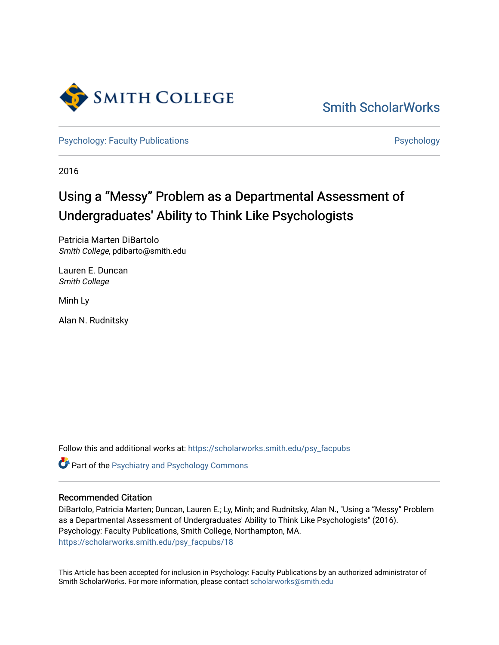

[Smith ScholarWorks](https://scholarworks.smith.edu/) 

[Psychology: Faculty Publications](https://scholarworks.smith.edu/psy_facpubs) **Psychology** Psychology

2016

# Using a "Messy" Problem as a Departmental Assessment of Undergraduates' Ability to Think Like Psychologists

Patricia Marten DiBartolo Smith College, pdibarto@smith.edu

Lauren E. Duncan Smith College

Minh Ly

Alan N. Rudnitsky

Follow this and additional works at: [https://scholarworks.smith.edu/psy\\_facpubs](https://scholarworks.smith.edu/psy_facpubs?utm_source=scholarworks.smith.edu%2Fpsy_facpubs%2F18&utm_medium=PDF&utm_campaign=PDFCoverPages) 

Part of the [Psychiatry and Psychology Commons](http://network.bepress.com/hgg/discipline/908?utm_source=scholarworks.smith.edu%2Fpsy_facpubs%2F18&utm_medium=PDF&utm_campaign=PDFCoverPages) 

## Recommended Citation

DiBartolo, Patricia Marten; Duncan, Lauren E.; Ly, Minh; and Rudnitsky, Alan N., "Using a "Messy" Problem as a Departmental Assessment of Undergraduates' Ability to Think Like Psychologists" (2016). Psychology: Faculty Publications, Smith College, Northampton, MA. [https://scholarworks.smith.edu/psy\\_facpubs/18](https://scholarworks.smith.edu/psy_facpubs/18?utm_source=scholarworks.smith.edu%2Fpsy_facpubs%2F18&utm_medium=PDF&utm_campaign=PDFCoverPages)

This Article has been accepted for inclusion in Psychology: Faculty Publications by an authorized administrator of Smith ScholarWorks. For more information, please contact [scholarworks@smith.edu](mailto:scholarworks@smith.edu)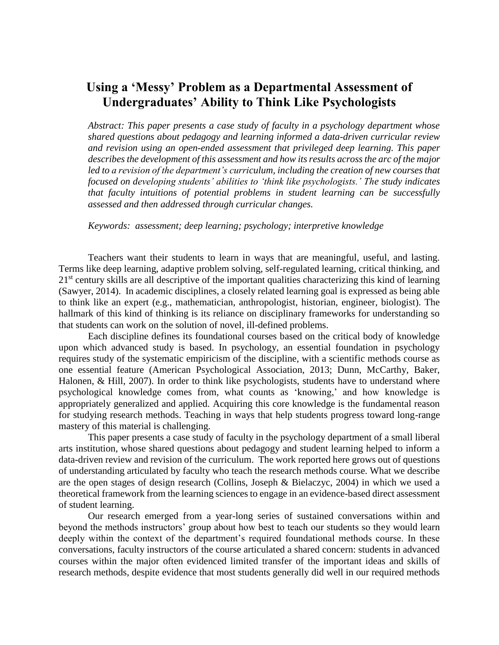# **Using a 'Messy' Problem as a Departmental Assessment of Undergraduates' Ability to Think Like Psychologists**

*Abstract: This paper presents a case study of faculty in a psychology department whose shared questions about pedagogy and learning informed a data-driven curricular review and revision using an open-ended assessment that privileged deep learning. This paper describes the development of this assessment and how its results across the arc of the major*  led to a revision of the department's curriculum, including the creation of new courses that *focused on developing students' abilities to 'think like psychologists.' The study indicates that faculty intuitions of potential problems in student learning can be successfully assessed and then addressed through curricular changes.*

*Keywords: assessment; deep learning; psychology; interpretive knowledge*

Teachers want their students to learn in ways that are meaningful, useful, and lasting. Terms like deep learning, adaptive problem solving, self-regulated learning, critical thinking, and 21<sup>st</sup> century skills are all descriptive of the important qualities characterizing this kind of learning (Sawyer, 2014). In academic disciplines, a closely related learning goal is expressed as being able to think like an expert (e.g., mathematician, anthropologist, historian, engineer, biologist). The hallmark of this kind of thinking is its reliance on disciplinary frameworks for understanding so that students can work on the solution of novel, ill-defined problems.

Each discipline defines its foundational courses based on the critical body of knowledge upon which advanced study is based. In psychology, an essential foundation in psychology requires study of the systematic empiricism of the discipline, with a scientific methods course as one essential feature (American Psychological Association, 2013; Dunn, McCarthy, Baker, Halonen, & Hill, 2007). In order to think like psychologists, students have to understand where psychological knowledge comes from, what counts as 'knowing,' and how knowledge is appropriately generalized and applied. Acquiring this core knowledge is the fundamental reason for studying research methods. Teaching in ways that help students progress toward long-range mastery of this material is challenging.

This paper presents a case study of faculty in the psychology department of a small liberal arts institution, whose shared questions about pedagogy and student learning helped to inform a data-driven review and revision of the curriculum. The work reported here grows out of questions of understanding articulated by faculty who teach the research methods course. What we describe are the open stages of design research (Collins, Joseph & Bielaczyc, 2004) in which we used a theoretical framework from the learning sciences to engage in an evidence-based direct assessment of student learning.

Our research emerged from a year-long series of sustained conversations within and beyond the methods instructors' group about how best to teach our students so they would learn deeply within the context of the department's required foundational methods course. In these conversations, faculty instructors of the course articulated a shared concern: students in advanced courses within the major often evidenced limited transfer of the important ideas and skills of research methods, despite evidence that most students generally did well in our required methods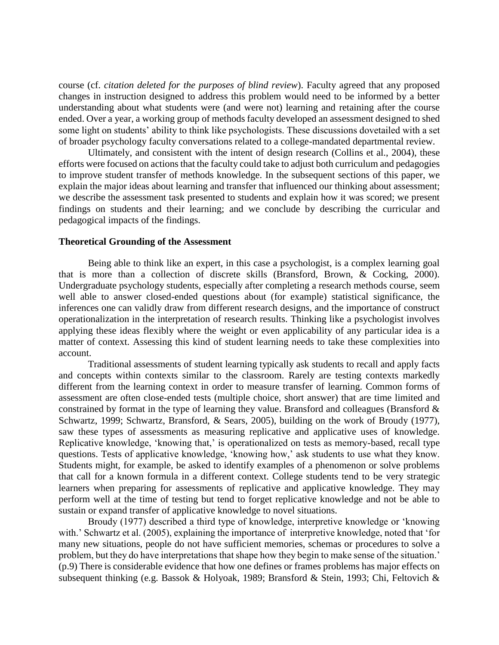course (cf. *citation deleted for the purposes of blind review*). Faculty agreed that any proposed changes in instruction designed to address this problem would need to be informed by a better understanding about what students were (and were not) learning and retaining after the course ended. Over a year, a working group of methods faculty developed an assessment designed to shed some light on students' ability to think like psychologists. These discussions dovetailed with a set of broader psychology faculty conversations related to a college-mandated departmental review.

Ultimately, and consistent with the intent of design research (Collins et al., 2004), these efforts were focused on actions that the faculty could take to adjust both curriculum and pedagogies to improve student transfer of methods knowledge. In the subsequent sections of this paper, we explain the major ideas about learning and transfer that influenced our thinking about assessment; we describe the assessment task presented to students and explain how it was scored; we present findings on students and their learning; and we conclude by describing the curricular and pedagogical impacts of the findings.

#### **Theoretical Grounding of the Assessment**

Being able to think like an expert, in this case a psychologist, is a complex learning goal that is more than a collection of discrete skills (Bransford, Brown, & Cocking, 2000). Undergraduate psychology students, especially after completing a research methods course, seem well able to answer closed-ended questions about (for example) statistical significance, the inferences one can validly draw from different research designs, and the importance of construct operationalization in the interpretation of research results. Thinking like a psychologist involves applying these ideas flexibly where the weight or even applicability of any particular idea is a matter of context. Assessing this kind of student learning needs to take these complexities into account.

Traditional assessments of student learning typically ask students to recall and apply facts and concepts within contexts similar to the classroom. Rarely are testing contexts markedly different from the learning context in order to measure transfer of learning. Common forms of assessment are often close-ended tests (multiple choice, short answer) that are time limited and constrained by format in the type of learning they value. Bransford and colleagues (Bransford & Schwartz, 1999; Schwartz, Bransford, & Sears, 2005), building on the work of Broudy (1977), saw these types of assessments as measuring replicative and applicative uses of knowledge. Replicative knowledge, 'knowing that,' is operationalized on tests as memory-based, recall type questions. Tests of applicative knowledge, 'knowing how,' ask students to use what they know. Students might, for example, be asked to identify examples of a phenomenon or solve problems that call for a known formula in a different context. College students tend to be very strategic learners when preparing for assessments of replicative and applicative knowledge. They may perform well at the time of testing but tend to forget replicative knowledge and not be able to sustain or expand transfer of applicative knowledge to novel situations.

Broudy (1977) described a third type of knowledge, interpretive knowledge or 'knowing with.' Schwartz et al. (2005), explaining the importance of interpretive knowledge, noted that 'for many new situations, people do not have sufficient memories, schemas or procedures to solve a problem, but they do have interpretations that shape how they begin to make sense of the situation.' (p.9) There is considerable evidence that how one defines or frames problems has major effects on subsequent thinking (e.g. Bassok & Holyoak, 1989; Bransford & Stein, 1993; Chi, Feltovich &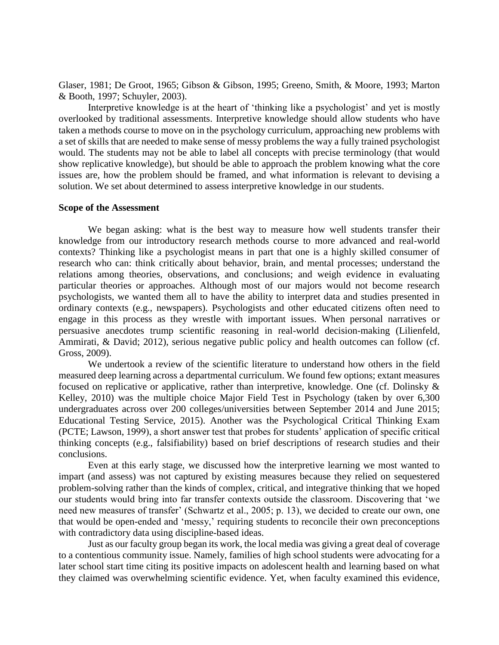Glaser, 1981; De Groot, 1965; Gibson & Gibson, 1995; Greeno, Smith, & Moore, 1993; Marton & Booth, 1997; Schuyler, 2003).

Interpretive knowledge is at the heart of 'thinking like a psychologist' and yet is mostly overlooked by traditional assessments. Interpretive knowledge should allow students who have taken a methods course to move on in the psychology curriculum, approaching new problems with a set of skills that are needed to make sense of messy problems the way a fully trained psychologist would. The students may not be able to label all concepts with precise terminology (that would show replicative knowledge), but should be able to approach the problem knowing what the core issues are, how the problem should be framed, and what information is relevant to devising a solution. We set about determined to assess interpretive knowledge in our students.

#### **Scope of the Assessment**

We began asking: what is the best way to measure how well students transfer their knowledge from our introductory research methods course to more advanced and real-world contexts? Thinking like a psychologist means in part that one is a highly skilled consumer of research who can: think critically about behavior, brain, and mental processes; understand the relations among theories, observations, and conclusions; and weigh evidence in evaluating particular theories or approaches. Although most of our majors would not become research psychologists, we wanted them all to have the ability to interpret data and studies presented in ordinary contexts (e.g., newspapers). Psychologists and other educated citizens often need to engage in this process as they wrestle with important issues. When personal narratives or persuasive anecdotes trump scientific reasoning in real-world decision-making (Lilienfeld, Ammirati, & David; 2012), serious negative public policy and health outcomes can follow (cf. Gross, 2009).

We undertook a review of the scientific literature to understand how others in the field measured deep learning across a departmental curriculum. We found few options; extant measures focused on replicative or applicative, rather than interpretive, knowledge. One (cf. Dolinsky & Kelley, 2010) was the multiple choice Major Field Test in Psychology (taken by over 6,300 undergraduates across over 200 colleges/universities between September 2014 and June 2015; Educational Testing Service, 2015). Another was the Psychological Critical Thinking Exam (PCTE; Lawson, 1999), a short answer test that probes for students' application of specific critical thinking concepts (e.g., falsifiability) based on brief descriptions of research studies and their conclusions.

Even at this early stage, we discussed how the interpretive learning we most wanted to impart (and assess) was not captured by existing measures because they relied on sequestered problem-solving rather than the kinds of complex, critical, and integrative thinking that we hoped our students would bring into far transfer contexts outside the classroom. Discovering that 'we need new measures of transfer' (Schwartz et al., 2005; p. 13), we decided to create our own, one that would be open-ended and 'messy,' requiring students to reconcile their own preconceptions with contradictory data using discipline-based ideas.

Just as our faculty group began its work, the local media was giving a great deal of coverage to a contentious community issue. Namely, families of high school students were advocating for a later school start time citing its positive impacts on adolescent health and learning based on what they claimed was overwhelming scientific evidence. Yet, when faculty examined this evidence,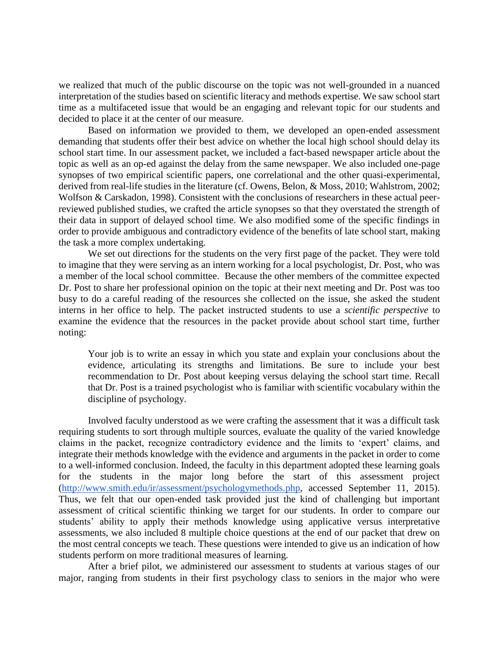we realized that much of the public discourse on the topic was not well-grounded in a nuanced interpretation of the studies based on scientific literacy and methods expertise. We saw school start time as a multifaceted issue that would be an engaging and relevant topic for our students and decided to place it at the center of our measure.

Based on information we provided to them, we developed an open-ended assessment demanding that students offer their best advice on whether the local high school should delay its school start time. In our assessment packet, we included a fact-based newspaper article about the topic as well as an op-ed against the delay from the same newspaper. We also included one-page synopses of two empirical scientific papers, one correlational and the other quasi-experimental, derived from real-life studies in the literature (cf. Owens, Belon, & Moss, 2010; Wahlstrom, 2002; Wolfson & Carskadon, 1998). Consistent with the conclusions of researchers in these actual peerreviewed published studies, we crafted the article synopses so that they overstated the strength of their data in support of delayed school time. We also modified some of the specific findings in order to provide ambiguous and contradictory evidence of the benefits of late school start, making the task a more complex undertaking.

We set out directions for the students on the very first page of the packet. They were told to imagine that they were serving as an intern working for a local psychologist, Dr. Post, who was a member of the local school committee. Because the other members of the committee expected Dr. Post to share her professional opinion on the topic at their next meeting and Dr. Post was too busy to do a careful reading of the resources she collected on the issue, she asked the student interns in her office to help. The packet instructed students to use a *scientific perspective* to examine the evidence that the resources in the packet provide about school start time, further noting:

Your job is to write an essay in which you state and explain your conclusions about the evidence, articulating its strengths and limitations. Be sure to include your best recommendation to Dr. Post about keeping versus delaying the school start time. Recall that Dr. Post is a trained psychologist who is familiar with scientific vocabulary within the discipline of psychology.

Involved faculty understood as we were crafting the assessment that it was a difficult task requiring students to sort through multiple sources, evaluate the quality of the varied knowledge claims in the packet, recognize contradictory evidence and the limits to 'expert' claims, and integrate their methods knowledge with the evidence and arguments in the packet in order to come to a well-informed conclusion. Indeed, the faculty in this department adopted these learning goals for the students in the major long before the start of this assessment project [\(http://www.smith.edu/ir/assessment/psychologymethods.php,](http://www.smith.edu/ir/assessment/psychologymethods.php) accessed September 11, 2015). Thus, we felt that our open-ended task provided just the kind of challenging but important assessment of critical scientific thinking we target for our students. In order to compare our students' ability to apply their methods knowledge using applicative versus interpretative assessments, we also included 8 multiple choice questions at the end of our packet that drew on the most central concepts we teach. These questions were intended to give us an indication of how students perform on more traditional measures of learning.

After a brief pilot, we administered our assessment to students at various stages of our major, ranging from students in their first psychology class to seniors in the major who were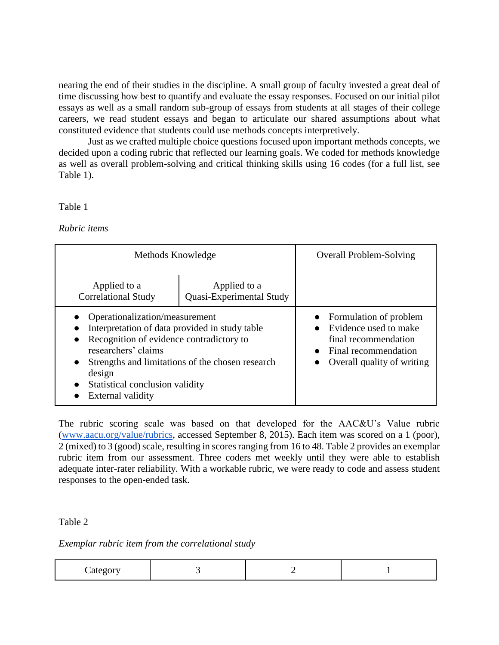nearing the end of their studies in the discipline. A small group of faculty invested a great deal of time discussing how best to quantify and evaluate the essay responses. Focused on our initial pilot essays as well as a small random sub-group of essays from students at all stages of their college careers, we read student essays and began to articulate our shared assumptions about what constituted evidence that students could use methods concepts interpretively.

Just as we crafted multiple choice questions focused upon important methods concepts, we decided upon a coding rubric that reflected our learning goals. We coded for methods knowledge as well as overall problem-solving and critical thinking skills using 16 codes (for a full list, see Table 1).

# Table 1

*Rubric items*

| Methods Knowledge                                                                                                                                                                                                                                                                                                |                                          | <b>Overall Problem-Solving</b>                                                                                                                                    |
|------------------------------------------------------------------------------------------------------------------------------------------------------------------------------------------------------------------------------------------------------------------------------------------------------------------|------------------------------------------|-------------------------------------------------------------------------------------------------------------------------------------------------------------------|
| Applied to a<br><b>Correlational Study</b>                                                                                                                                                                                                                                                                       | Applied to a<br>Quasi-Experimental Study |                                                                                                                                                                   |
| Operationalization/measurement<br>Interpretation of data provided in study table<br>Recognition of evidence contradictory to<br>$\bullet$<br>researchers' claims<br>Strengths and limitations of the chosen research<br>$\bullet$<br>design<br>Statistical conclusion validity<br>$\bullet$<br>External validity |                                          | Formulation of problem<br>Evidence used to make<br>$\bullet$<br>final recommendation<br>$\bullet$ Final recommendation<br>Overall quality of writing<br>$\bullet$ |

The rubric scoring scale was based on that developed for the AAC&U's Value rubric [\(www.aacu.org/value/rubrics,](http://citwww.aacu.org/value/rubrics) accessed September 8, 2015). Each item was scored on a 1 (poor), 2 (mixed) to 3 (good) scale, resulting in scores ranging from 16 to 48. Table 2 provides an exemplar rubric item from our assessment. Three coders met weekly until they were able to establish adequate inter-rater reliability. With a workable rubric, we were ready to code and assess student responses to the open-ended task.

Table 2

*Exemplar rubric item from the correlational study*

|--|--|--|--|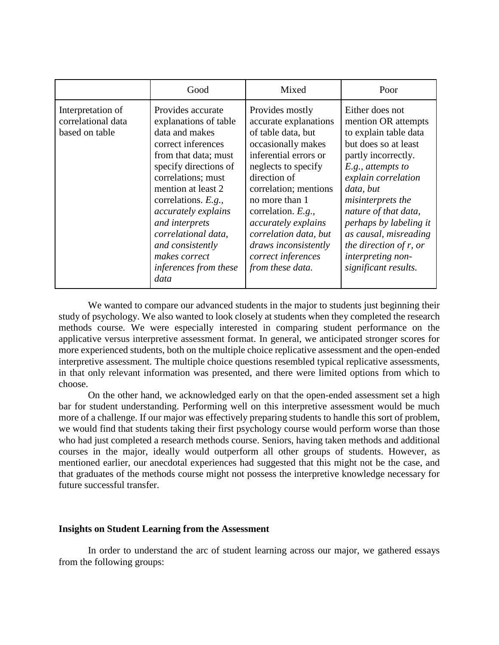|                                                           | Good                                                                                                                                                                                                                                                                                                                                         | Mixed                                                                                                                                                                                                                                                                                                                                   | Poor                                                                                                                                                                                                                                                                                                                                                       |
|-----------------------------------------------------------|----------------------------------------------------------------------------------------------------------------------------------------------------------------------------------------------------------------------------------------------------------------------------------------------------------------------------------------------|-----------------------------------------------------------------------------------------------------------------------------------------------------------------------------------------------------------------------------------------------------------------------------------------------------------------------------------------|------------------------------------------------------------------------------------------------------------------------------------------------------------------------------------------------------------------------------------------------------------------------------------------------------------------------------------------------------------|
| Interpretation of<br>correlational data<br>based on table | Provides accurate<br>explanations of table<br>data and makes<br>correct inferences<br>from that data; must<br>specify directions of<br>correlations; must<br>mention at least 2<br>correlations. E.g.,<br>accurately explains<br>and interprets<br>correlational data,<br>and consistently<br>makes correct<br>inferences from these<br>data | Provides mostly<br>accurate explanations<br>of table data, but<br>occasionally makes<br>inferential errors or<br>neglects to specify<br>direction of<br>correlation; mentions<br>no more than 1<br>correlation. E.g.,<br>accurately explains<br>correlation data, but<br>draws inconsistently<br>correct inferences<br>from these data. | Either does not<br>mention OR attempts<br>to explain table data<br>but does so at least<br>partly incorrectly.<br>$E.g.,$ attempts to<br>explain correlation<br>data, but<br><i>misinterprets the</i><br>nature of that data,<br>perhaps by labeling it<br>as causal, misreading<br>the direction of $r$ , or<br>interpreting non-<br>significant results. |

We wanted to compare our advanced students in the major to students just beginning their study of psychology. We also wanted to look closely at students when they completed the research methods course. We were especially interested in comparing student performance on the applicative versus interpretive assessment format. In general, we anticipated stronger scores for more experienced students, both on the multiple choice replicative assessment and the open-ended interpretive assessment. The multiple choice questions resembled typical replicative assessments, in that only relevant information was presented, and there were limited options from which to choose.

On the other hand, we acknowledged early on that the open-ended assessment set a high bar for student understanding. Performing well on this interpretive assessment would be much more of a challenge. If our major was effectively preparing students to handle this sort of problem, we would find that students taking their first psychology course would perform worse than those who had just completed a research methods course. Seniors, having taken methods and additional courses in the major, ideally would outperform all other groups of students. However, as mentioned earlier, our anecdotal experiences had suggested that this might not be the case, and that graduates of the methods course might not possess the interpretive knowledge necessary for future successful transfer.

## **Insights on Student Learning from the Assessment**

In order to understand the arc of student learning across our major, we gathered essays from the following groups: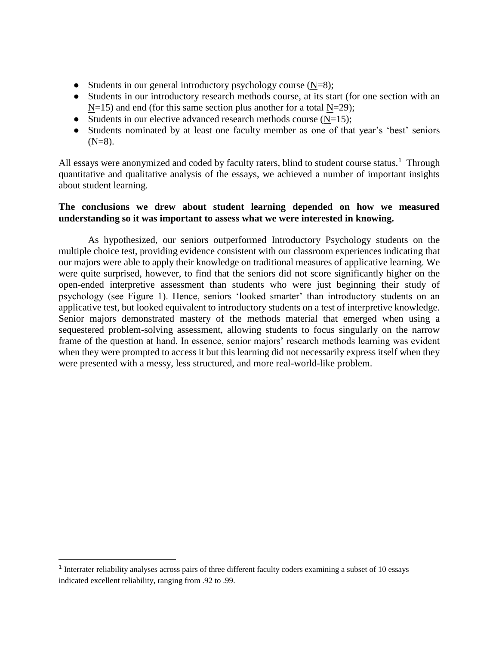- Students in our general introductory psychology course  $(N=8)$ ;
- Students in our introductory research methods course, at its start (for one section with an  $N=15$ ) and end (for this same section plus another for a total  $N=29$ );
- Students in our elective advanced research methods course  $(N=15)$ ;
- Students nominated by at least one faculty member as one of that year's 'best' seniors  $(N=8)$ .

All essays were anonymized and coded by faculty raters, blind to student course status.<sup>1</sup> Through quantitative and qualitative analysis of the essays, we achieved a number of important insights about student learning.

# **The conclusions we drew about student learning depended on how we measured understanding so it was important to assess what we were interested in knowing.**

As hypothesized, our seniors outperformed Introductory Psychology students on the multiple choice test, providing evidence consistent with our classroom experiences indicating that our majors were able to apply their knowledge on traditional measures of applicative learning. We were quite surprised, however, to find that the seniors did not score significantly higher on the open-ended interpretive assessment than students who were just beginning their study of psychology (see Figure 1). Hence, seniors 'looked smarter' than introductory students on an applicative test, but looked equivalent to introductory students on a test of interpretive knowledge. Senior majors demonstrated mastery of the methods material that emerged when using a sequestered problem-solving assessment, allowing students to focus singularly on the narrow frame of the question at hand. In essence, senior majors' research methods learning was evident when they were prompted to access it but this learning did not necessarily express itself when they were presented with a messy, less structured, and more real-world-like problem.

<sup>&</sup>lt;sup>1</sup> Interrater reliability analyses across pairs of three different faculty coders examining a subset of 10 essays indicated excellent reliability, ranging from .92 to .99.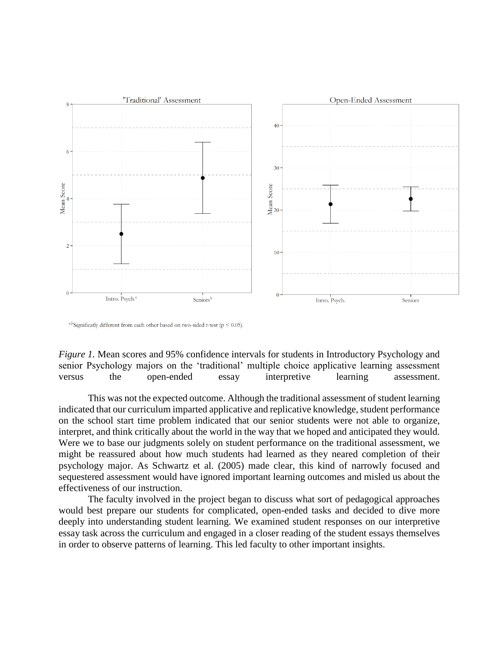

<sup>a,b</sup>Significatly different from each other based on two-sided t-test ( $p \le 0.05$ ).

*Figure 1.* Mean scores and 95% confidence intervals for students in Introductory Psychology and senior Psychology majors on the 'traditional' multiple choice applicative learning assessment versus the open-ended essay interpretive learning assessment.

This was not the expected outcome. Although the traditional assessment of student learning indicated that our curriculum imparted applicative and replicative knowledge, student performance on the school start time problem indicated that our senior students were not able to organize, interpret, and think critically about the world in the way that we hoped and anticipated they would. Were we to base our judgments solely on student performance on the traditional assessment, we might be reassured about how much students had learned as they neared completion of their psychology major. As Schwartz et al. (2005) made clear, this kind of narrowly focused and sequestered assessment would have ignored important learning outcomes and misled us about the effectiveness of our instruction.

The faculty involved in the project began to discuss what sort of pedagogical approaches would best prepare our students for complicated, open-ended tasks and decided to dive more deeply into understanding student learning. We examined student responses on our interpretive essay task across the curriculum and engaged in a closer reading of the student essays themselves in order to observe patterns of learning. This led faculty to other important insights.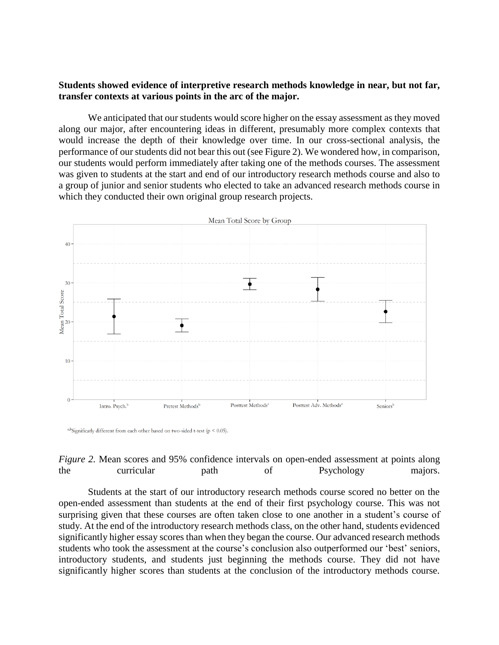# **Students showed evidence of interpretive research methods knowledge in near, but not far, transfer contexts at various points in the arc of the major.**

We anticipated that our students would score higher on the essay assessment as they moved along our major, after encountering ideas in different, presumably more complex contexts that would increase the depth of their knowledge over time. In our cross-sectional analysis, the performance of our students did not bear this out (see Figure 2). We wondered how, in comparison, our students would perform immediately after taking one of the methods courses. The assessment was given to students at the start and end of our introductory research methods course and also to a group of junior and senior students who elected to take an advanced research methods course in which they conducted their own original group research projects.



<sup>a,b</sup>Significatly different from each other based on two-sided t-test ( $p < 0.05$ ).



Students at the start of our introductory research methods course scored no better on the open-ended assessment than students at the end of their first psychology course. This was not surprising given that these courses are often taken close to one another in a student's course of study. At the end of the introductory research methods class, on the other hand, students evidenced significantly higher essay scores than when they began the course. Our advanced research methods students who took the assessment at the course's conclusion also outperformed our 'best' seniors, introductory students, and students just beginning the methods course. They did not have significantly higher scores than students at the conclusion of the introductory methods course.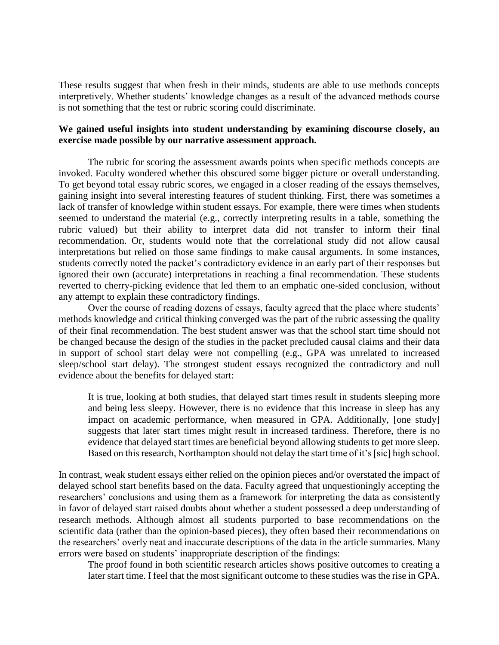These results suggest that when fresh in their minds, students are able to use methods concepts interpretively. Whether students' knowledge changes as a result of the advanced methods course is not something that the test or rubric scoring could discriminate.

# **We gained useful insights into student understanding by examining discourse closely, an exercise made possible by our narrative assessment approach.**

The rubric for scoring the assessment awards points when specific methods concepts are invoked. Faculty wondered whether this obscured some bigger picture or overall understanding. To get beyond total essay rubric scores, we engaged in a closer reading of the essays themselves, gaining insight into several interesting features of student thinking. First, there was sometimes a lack of transfer of knowledge within student essays. For example, there were times when students seemed to understand the material (e.g., correctly interpreting results in a table, something the rubric valued) but their ability to interpret data did not transfer to inform their final recommendation. Or, students would note that the correlational study did not allow causal interpretations but relied on those same findings to make causal arguments. In some instances, students correctly noted the packet's contradictory evidence in an early part of their responses but ignored their own (accurate) interpretations in reaching a final recommendation. These students reverted to cherry-picking evidence that led them to an emphatic one-sided conclusion, without any attempt to explain these contradictory findings.

Over the course of reading dozens of essays, faculty agreed that the place where students' methods knowledge and critical thinking converged was the part of the rubric assessing the quality of their final recommendation. The best student answer was that the school start time should not be changed because the design of the studies in the packet precluded causal claims and their data in support of school start delay were not compelling (e.g., GPA was unrelated to increased sleep/school start delay). The strongest student essays recognized the contradictory and null evidence about the benefits for delayed start:

It is true, looking at both studies, that delayed start times result in students sleeping more and being less sleepy. However, there is no evidence that this increase in sleep has any impact on academic performance, when measured in GPA. Additionally, [one study] suggests that later start times might result in increased tardiness. Therefore, there is no evidence that delayed start times are beneficial beyond allowing students to get more sleep. Based on this research, Northampton should not delay the start time of it's [sic] high school.

In contrast, weak student essays either relied on the opinion pieces and/or overstated the impact of delayed school start benefits based on the data. Faculty agreed that unquestioningly accepting the researchers' conclusions and using them as a framework for interpreting the data as consistently in favor of delayed start raised doubts about whether a student possessed a deep understanding of research methods. Although almost all students purported to base recommendations on the scientific data (rather than the opinion-based pieces), they often based their recommendations on the researchers' overly neat and inaccurate descriptions of the data in the article summaries. Many errors were based on students' inappropriate description of the findings:

The proof found in both scientific research articles shows positive outcomes to creating a later start time. I feel that the most significant outcome to these studies was the rise in GPA.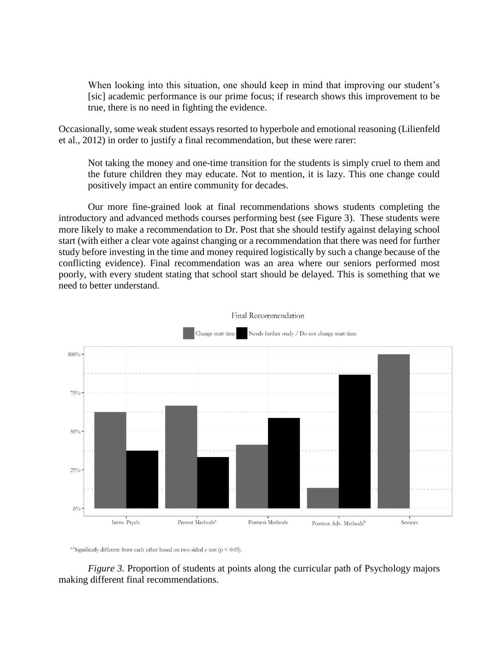When looking into this situation, one should keep in mind that improving our student's [sic] academic performance is our prime focus; if research shows this improvement to be true, there is no need in fighting the evidence.

Occasionally, some weak student essays resorted to hyperbole and emotional reasoning (Lilienfeld et al., 2012) in order to justify a final recommendation, but these were rarer:

Not taking the money and one-time transition for the students is simply cruel to them and the future children they may educate. Not to mention, it is lazy. This one change could positively impact an entire community for decades.

Our more fine-grained look at final recommendations shows students completing the introductory and advanced methods courses performing best (see Figure 3). These students were more likely to make a recommendation to Dr. Post that she should testify against delaying school start (with either a clear vote against changing or a recommendation that there was need for further study before investing in the time and money required logistically by such a change because of the conflicting evidence). Final recommendation was an area where our seniors performed most poorly, with every student stating that school start should be delayed. This is something that we need to better understand.





<sup>a,b</sup>Significatly different from each other based on two-sided z-test ( $p < 0.05$ ).

*Figure 3.* Proportion of students at points along the curricular path of Psychology majors making different final recommendations.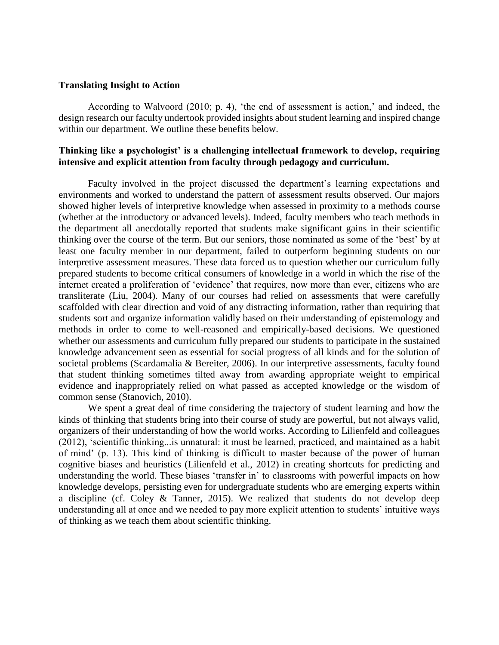## **Translating Insight to Action**

According to Walvoord (2010; p. 4), 'the end of assessment is action,' and indeed, the design research our faculty undertook provided insights about student learning and inspired change within our department. We outline these benefits below.

# **Thinking like a psychologist' is a challenging intellectual framework to develop, requiring intensive and explicit attention from faculty through pedagogy and curriculum.**

Faculty involved in the project discussed the department's learning expectations and environments and worked to understand the pattern of assessment results observed. Our majors showed higher levels of interpretive knowledge when assessed in proximity to a methods course (whether at the introductory or advanced levels). Indeed, faculty members who teach methods in the department all anecdotally reported that students make significant gains in their scientific thinking over the course of the term. But our seniors, those nominated as some of the 'best' by at least one faculty member in our department, failed to outperform beginning students on our interpretive assessment measures. These data forced us to question whether our curriculum fully prepared students to become critical consumers of knowledge in a world in which the rise of the internet created a proliferation of 'evidence' that requires, now more than ever, citizens who are transliterate (Liu, 2004). Many of our courses had relied on assessments that were carefully scaffolded with clear direction and void of any distracting information, rather than requiring that students sort and organize information validly based on their understanding of epistemology and methods in order to come to well-reasoned and empirically-based decisions. We questioned whether our assessments and curriculum fully prepared our students to participate in the sustained knowledge advancement seen as essential for social progress of all kinds and for the solution of societal problems (Scardamalia & Bereiter, 2006). In our interpretive assessments, faculty found that student thinking sometimes tilted away from awarding appropriate weight to empirical evidence and inappropriately relied on what passed as accepted knowledge or the wisdom of common sense (Stanovich, 2010).

We spent a great deal of time considering the trajectory of student learning and how the kinds of thinking that students bring into their course of study are powerful, but not always valid, organizers of their understanding of how the world works. According to Lilienfeld and colleagues (2012), 'scientific thinking...is unnatural: it must be learned, practiced, and maintained as a habit of mind' (p. 13). This kind of thinking is difficult to master because of the power of human cognitive biases and heuristics (Lilienfeld et al., 2012) in creating shortcuts for predicting and understanding the world. These biases 'transfer in' to classrooms with powerful impacts on how knowledge develops, persisting even for undergraduate students who are emerging experts within a discipline (cf. Coley & Tanner, 2015). We realized that students do not develop deep understanding all at once and we needed to pay more explicit attention to students' intuitive ways of thinking as we teach them about scientific thinking.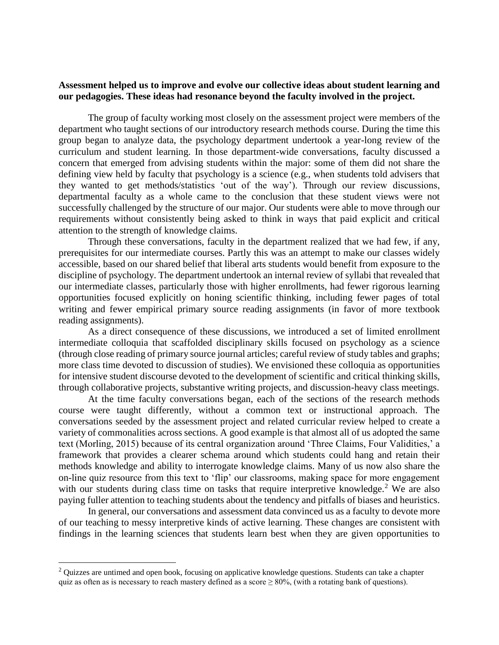# **Assessment helped us to improve and evolve our collective ideas about student learning and our pedagogies. These ideas had resonance beyond the faculty involved in the project.**

The group of faculty working most closely on the assessment project were members of the department who taught sections of our introductory research methods course. During the time this group began to analyze data, the psychology department undertook a year-long review of the curriculum and student learning. In those department-wide conversations, faculty discussed a concern that emerged from advising students within the major: some of them did not share the defining view held by faculty that psychology is a science (e.g., when students told advisers that they wanted to get methods/statistics 'out of the way'). Through our review discussions, departmental faculty as a whole came to the conclusion that these student views were not successfully challenged by the structure of our major. Our students were able to move through our requirements without consistently being asked to think in ways that paid explicit and critical attention to the strength of knowledge claims.

Through these conversations, faculty in the department realized that we had few, if any, prerequisites for our intermediate courses. Partly this was an attempt to make our classes widely accessible, based on our shared belief that liberal arts students would benefit from exposure to the discipline of psychology. The department undertook an internal review of syllabi that revealed that our intermediate classes, particularly those with higher enrollments, had fewer rigorous learning opportunities focused explicitly on honing scientific thinking, including fewer pages of total writing and fewer empirical primary source reading assignments (in favor of more textbook reading assignments).

As a direct consequence of these discussions, we introduced a set of limited enrollment intermediate colloquia that scaffolded disciplinary skills focused on psychology as a science (through close reading of primary source journal articles; careful review of study tables and graphs; more class time devoted to discussion of studies). We envisioned these colloquia as opportunities for intensive student discourse devoted to the development of scientific and critical thinking skills, through collaborative projects, substantive writing projects, and discussion-heavy class meetings.

At the time faculty conversations began, each of the sections of the research methods course were taught differently, without a common text or instructional approach. The conversations seeded by the assessment project and related curricular review helped to create a variety of commonalities across sections. A good example is that almost all of us adopted the same text (Morling, 2015) because of its central organization around 'Three Claims, Four Validities,' a framework that provides a clearer schema around which students could hang and retain their methods knowledge and ability to interrogate knowledge claims. Many of us now also share the on-line quiz resource from this text to 'flip' our classrooms, making space for more engagement with our students during class time on tasks that require interpretive knowledge.<sup>2</sup> We are also paying fuller attention to teaching students about the tendency and pitfalls of biases and heuristics.

In general, our conversations and assessment data convinced us as a faculty to devote more of our teaching to messy interpretive kinds of active learning. These changes are consistent with findings in the learning sciences that students learn best when they are given opportunities to

 $\overline{a}$ 

<sup>&</sup>lt;sup>2</sup> Quizzes are untimed and open book, focusing on applicative knowledge questions. Students can take a chapter quiz as often as is necessary to reach mastery defined as a score  $\geq 80\%$ , (with a rotating bank of questions).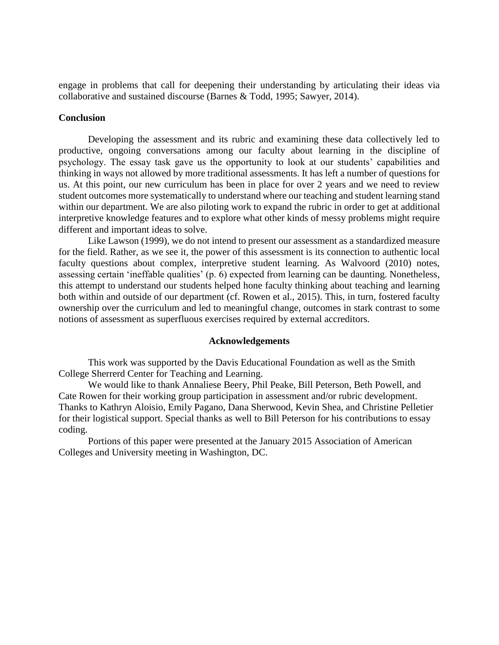engage in problems that call for deepening their understanding by articulating their ideas via collaborative and sustained discourse (Barnes & Todd, 1995; Sawyer, 2014).

#### **Conclusion**

Developing the assessment and its rubric and examining these data collectively led to productive, ongoing conversations among our faculty about learning in the discipline of psychology. The essay task gave us the opportunity to look at our students' capabilities and thinking in ways not allowed by more traditional assessments. It has left a number of questions for us. At this point, our new curriculum has been in place for over 2 years and we need to review student outcomes more systematically to understand where our teaching and student learning stand within our department. We are also piloting work to expand the rubric in order to get at additional interpretive knowledge features and to explore what other kinds of messy problems might require different and important ideas to solve.

Like Lawson (1999), we do not intend to present our assessment as a standardized measure for the field. Rather, as we see it, the power of this assessment is its connection to authentic local faculty questions about complex, interpretive student learning. As Walvoord (2010) notes, assessing certain 'ineffable qualities' (p. 6) expected from learning can be daunting. Nonetheless, this attempt to understand our students helped hone faculty thinking about teaching and learning both within and outside of our department (cf. Rowen et al., 2015). This, in turn, fostered faculty ownership over the curriculum and led to meaningful change, outcomes in stark contrast to some notions of assessment as superfluous exercises required by external accreditors.

#### **Acknowledgements**

This work was supported by the Davis Educational Foundation as well as the Smith College Sherrerd Center for Teaching and Learning.

We would like to thank Annaliese Beery, Phil Peake, Bill Peterson, Beth Powell, and Cate Rowen for their working group participation in assessment and/or rubric development. Thanks to Kathryn Aloisio, Emily Pagano, Dana Sherwood, Kevin Shea, and Christine Pelletier for their logistical support. Special thanks as well to Bill Peterson for his contributions to essay coding.

Portions of this paper were presented at the January 2015 Association of American Colleges and University meeting in Washington, DC.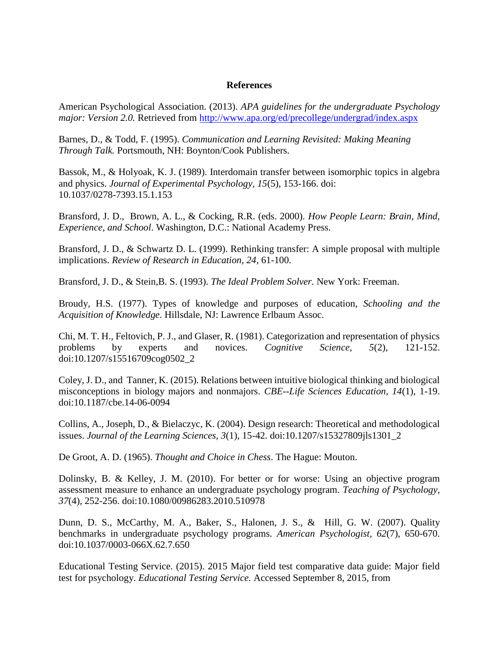#### **References**

American Psychological Association. (2013). *APA guidelines for the undergraduate Psychology major: Version 2.0.* Retrieved from http://www.apa.org/ed/precollege/undergrad/index.aspx

Barnes, D., & Todd, F. (1995). *Communication and Learning Revisited: Making Meaning Through Talk.* Portsmouth, NH: Boynton/Cook Publishers.

Bassok, M., & Holyoak, K. J. (1989). Interdomain transfer between isomorphic topics in algebra and physics. *Journal of Experimental Psychology, 15*(5), 153-166. doi: 10.1037/0278-7393.15.1.153

Bransford, J. D., Brown, A. L., & Cocking, R.R. (eds. 2000). *How People Learn: Brain, Mind, Experience, and School*. Washington, D.C.: National Academy Press.

Bransford, J. D., & Schwartz D. L. (1999). Rethinking transfer: A simple proposal with multiple implications. *Review of Research in Education*, *24*, 61-100.

Bransford, J. D., & Stein,B. S. (1993). *The Ideal Problem Solver.* New York: Freeman.

Broudy, H.S. (1977). Types of knowledge and purposes of education, *Schooling and the Acquisition of Knowledge*. Hillsdale, NJ: Lawrence Erlbaum Assoc.

Chi, M. T. H., Feltovich, P. J., and Glaser, R. (1981). Categorization and representation of physics problems by experts and novices. *Cognitive Science, 5*(2), 121-152. doi:10.1207/s15516709cog0502\_2

Coley, J. D., and Tanner, K. (2015). Relations between intuitive biological thinking and biological misconceptions in biology majors and nonmajors. *CBE--Life Sciences Education, 14*(1), 1-19. doi:10.1187/cbe.14-06-0094

Collins, A., Joseph, D., & Bielaczyc, K. (2004). Design research: Theoretical and methodological issues. *Journal of the Learning Sciences, 3*(1), 15-42. doi:10.1207/s15327809jls1301\_2

De Groot, A. D. (1965). *Thought and Choice in Chess*. The Hague: Mouton.

Dolinsky, B. & Kelley, J. M. (2010). For better or for worse: Using an objective program assessment measure to enhance an undergraduate psychology program. *Teaching of Psychology, 37*(4), 252-256. doi:10.1080/00986283.2010.510978

Dunn, D. S., McCarthy, M. A., Baker, S., Halonen, J. S., & Hill, G. W. (2007). Quality benchmarks in undergraduate psychology programs. *American Psychologist, 62*(7), 650-670. doi:10.1037/0003-066X.62.7.650

Educational Testing Service. (2015). 2015 Major field test comparative data guide: Major field test for psychology. *Educational Testing Service.* Accessed September 8, 2015, from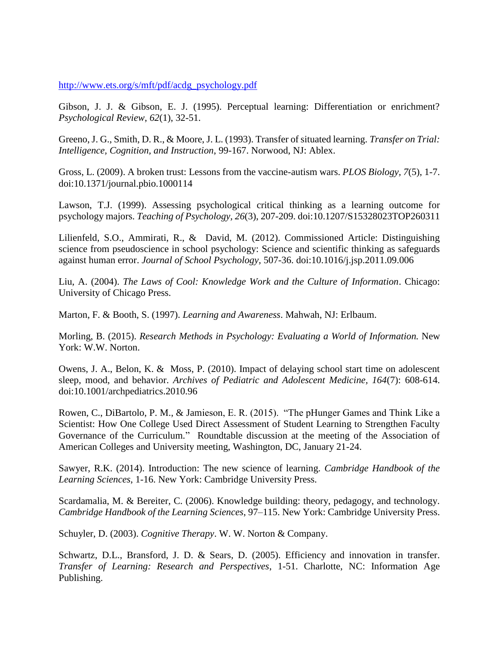http:/[/www.ets.org/s/mft/pdf/acdg\\_psychology.pdf](http://www.ets.org/s/mft/pdf/acdg_psychology.pdf)

Gibson, J. J. & Gibson, E. J. (1995). Perceptual learning: Differentiation or enrichment? *Psychological Review*, *62*(1), 32-51.

Greeno, J. G., Smith, D. R., & Moore, J. L. (1993). Transfer of situated learning. *Transfer on Trial: Intelligence, Cognition, and Instruction*, 99-167. Norwood, NJ: Ablex.

Gross, L. (2009). A broken trust: Lessons from the vaccine-autism wars. *PLOS Biology, 7*(5), 1-7. doi:10.1371/journal.pbio.1000114

Lawson, T.J. (1999). Assessing psychological critical thinking as a learning outcome for psychology majors. *Teaching of Psychology, 26*(3), 207-209. doi:10.1207/S15328023TOP260311

Lilienfeld, S.O., Ammirati, R., & David, M. (2012). Commissioned Article: Distinguishing science from pseudoscience in school psychology: Science and scientific thinking as safeguards against human error. *Journal of School Psychology,* 507-36. doi:10.1016/j.jsp.2011.09.006

Liu, A. (2004). *The Laws of Cool: Knowledge Work and the Culture of Information*. Chicago: University of Chicago Press.

Marton, F. & Booth, S. (1997). *Learning and Awareness*. Mahwah, NJ: Erlbaum.

Morling, B. (2015). *Research Methods in Psychology: Evaluating a World of Information.* New York: W.W. Norton.

Owens, J. A., Belon, K. & Moss, P. (2010). Impact of delaying school start time on adolescent sleep, mood, and behavior. *Archives of Pediatric and Adolescent Medicine, 164*(7): 608-614. doi:10.1001/archpediatrics.2010.96

Rowen, C., DiBartolo, P. M., & Jamieson, E. R. (2015). "The pHunger Games and Think Like a Scientist: How One College Used Direct Assessment of Student Learning to Strengthen Faculty Governance of the Curriculum*.*"Roundtable discussion at the meeting of the Association of American Colleges and University meeting, Washington, DC, January 21-24.

Sawyer, R.K. (2014). Introduction: The new science of learning. *Cambridge Handbook of the Learning Sciences*, 1-16. New York: Cambridge University Press.

Scardamalia, M. & Bereiter, C. (2006). Knowledge building: theory, pedagogy, and technology. *Cambridge Handbook of the Learning Sciences*, 97–115. New York: Cambridge University Press.

Schuyler, D. (2003). *Cognitive Therapy*. W. W. Norton & Company.

Schwartz, D.L., Bransford, J. D. & Sears, D. (2005). Efficiency and innovation in transfer. *Transfer of Learning: Research and Perspectives*, 1-51. Charlotte, NC: Information Age Publishing.